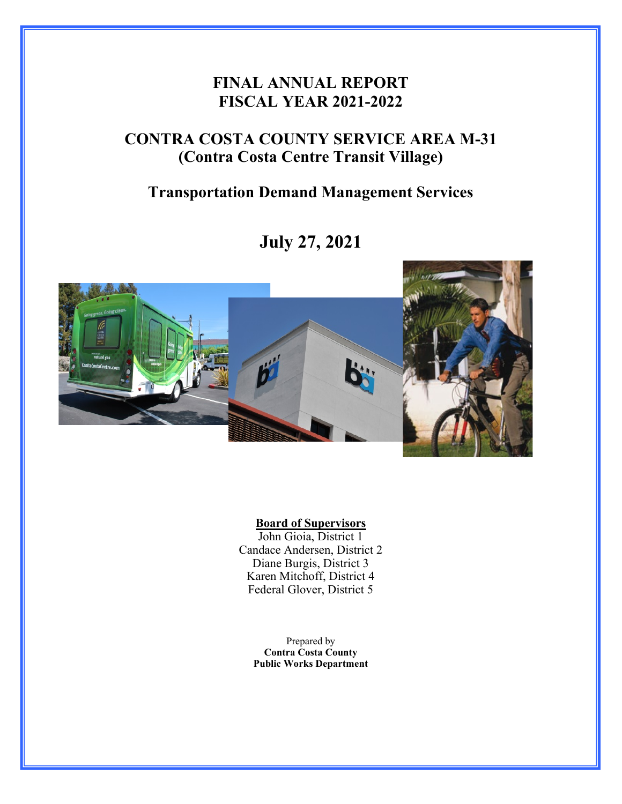## **FINAL ANNUAL REPORT FISCAL YEAR 2021-2022**

# **CONTRA COSTA COUNTY SERVICE AREA M-31 (Contra Costa Centre Transit Village)**

### **Transportation Demand Management Services**

# **July 27, 2021**



#### **Board of Supervisors**

John Gioia, District 1 Candace Andersen, District 2 Diane Burgis, District 3 Karen Mitchoff, District 4 Federal Glover, District 5

> Prepared by **Contra Costa County Public Works Department**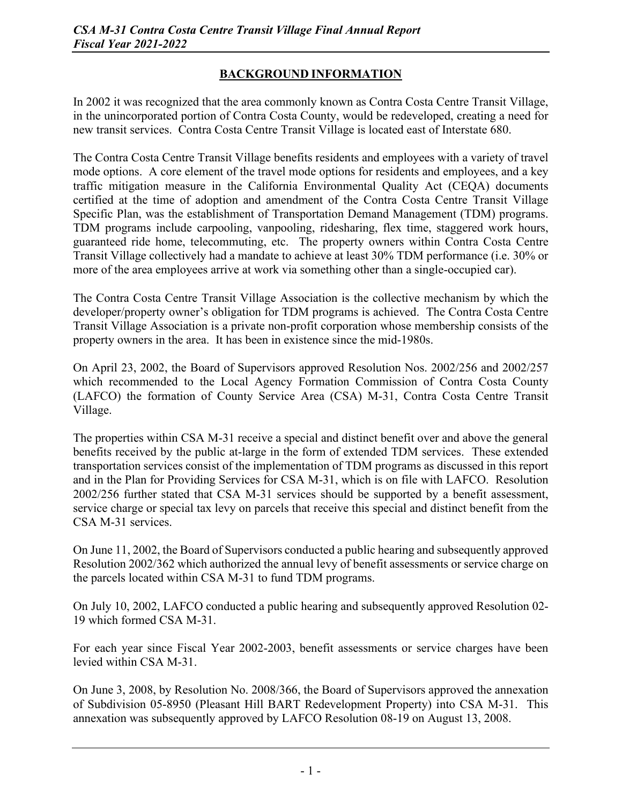#### **BACKGROUND INFORMATION**

In 2002 it was recognized that the area commonly known as Contra Costa Centre Transit Village, in the unincorporated portion of Contra Costa County, would be redeveloped, creating a need for new transit services. Contra Costa Centre Transit Village is located east of Interstate 680.

The Contra Costa Centre Transit Village benefits residents and employees with a variety of travel mode options. A core element of the travel mode options for residents and employees, and a key traffic mitigation measure in the California Environmental Quality Act (CEQA) documents certified at the time of adoption and amendment of the Contra Costa Centre Transit Village Specific Plan, was the establishment of Transportation Demand Management (TDM) programs. TDM programs include carpooling, vanpooling, ridesharing, flex time, staggered work hours, guaranteed ride home, telecommuting, etc. The property owners within Contra Costa Centre Transit Village collectively had a mandate to achieve at least 30% TDM performance (i.e. 30% or more of the area employees arrive at work via something other than a single-occupied car).

The Contra Costa Centre Transit Village Association is the collective mechanism by which the developer/property owner's obligation for TDM programs is achieved. The Contra Costa Centre Transit Village Association is a private non-profit corporation whose membership consists of the property owners in the area. It has been in existence since the mid-1980s.

On April 23, 2002, the Board of Supervisors approved Resolution Nos. 2002/256 and 2002/257 which recommended to the Local Agency Formation Commission of Contra Costa County (LAFCO) the formation of County Service Area (CSA) M-31, Contra Costa Centre Transit Village.

The properties within CSA M-31 receive a special and distinct benefit over and above the general benefits received by the public at-large in the form of extended TDM services. These extended transportation services consist of the implementation of TDM programs as discussed in this report and in the Plan for Providing Services for CSA M-31, which is on file with LAFCO. Resolution 2002/256 further stated that CSA M-31 services should be supported by a benefit assessment, service charge or special tax levy on parcels that receive this special and distinct benefit from the CSA M-31 services.

On June 11, 2002, the Board of Supervisors conducted a public hearing and subsequently approved Resolution 2002/362 which authorized the annual levy of benefit assessments or service charge on the parcels located within CSA M-31 to fund TDM programs.

On July 10, 2002, LAFCO conducted a public hearing and subsequently approved Resolution 02- 19 which formed CSA M-31.

For each year since Fiscal Year 2002-2003, benefit assessments or service charges have been levied within CSA M-31.

On June 3, 2008, by Resolution No. 2008/366, the Board of Supervisors approved the annexation of Subdivision 05-8950 (Pleasant Hill BART Redevelopment Property) into CSA M-31. This annexation was subsequently approved by LAFCO Resolution 08-19 on August 13, 2008.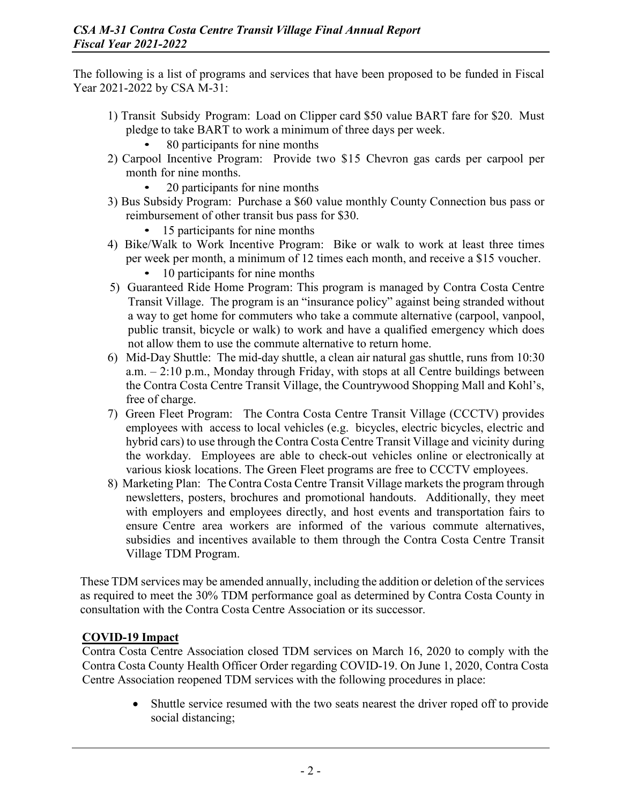The following is a list of programs and services that have been proposed to be funded in Fiscal Year 2021-2022 by CSA M-31:

- 1) Transit Subsidy Program: Load on Clipper card \$50 value BART fare for \$20. Must pledge to take BART to work a minimum of three days per week.
	- 80 participants for nine months
- 2) Carpool Incentive Program: Provide two \$15 Chevron gas cards per carpool per month for nine months.
	- 20 participants for nine months
- 3) Bus Subsidy Program: Purchase a \$60 value monthly County Connection bus pass or reimbursement of other transit bus pass for \$30.
	- 15 participants for nine months
- 4) Bike/Walk to Work Incentive Program: Bike or walk to work at least three times per week per month, a minimum of 12 times each month, and receive a \$15 voucher.
	- 10 participants for nine months
- 5) Guaranteed Ride Home Program: This program is managed by Contra Costa Centre Transit Village. The program is an "insurance policy" against being stranded without a way to get home for commuters who take a commute alternative (carpool, vanpool, public transit, bicycle or walk) to work and have a qualified emergency which does not allow them to use the commute alternative to return home.
- 6) Mid-Day Shuttle: The mid-day shuttle, a clean air natural gas shuttle, runs from 10:30 a.m. – 2:10 p.m., Monday through Friday, with stops at all Centre buildings between the Contra Costa Centre Transit Village, the Countrywood Shopping Mall and Kohl's, free of charge.
- 7) Green Fleet Program: The Contra Costa Centre Transit Village (CCCTV) provides employees with access to local vehicles (e.g. bicycles, electric bicycles, electric and hybrid cars) to use through the Contra Costa Centre Transit Village and vicinity during the workday. Employees are able to check-out vehicles online or electronically at various kiosk locations. The Green Fleet programs are free to CCCTV employees.
- 8) Marketing Plan: The Contra Costa Centre Transit Village markets the program through newsletters, posters, brochures and promotional handouts. Additionally, they meet with employers and employees directly, and host events and transportation fairs to ensure Centre area workers are informed of the various commute alternatives, subsidies and incentives available to them through the Contra Costa Centre Transit Village TDM Program.

These TDM services may be amended annually, including the addition or deletion of the services as required to meet the 30% TDM performance goal as determined by Contra Costa County in consultation with the Contra Costa Centre Association or its successor.

#### **COVID-19 Impact**

Contra Costa Centre Association closed TDM services on March 16, 2020 to comply with the Contra Costa County Health Officer Order regarding COVID-19. On June 1, 2020, Contra Costa Centre Association reopened TDM services with the following procedures in place:

> Shuttle service resumed with the two seats nearest the driver roped off to provide social distancing;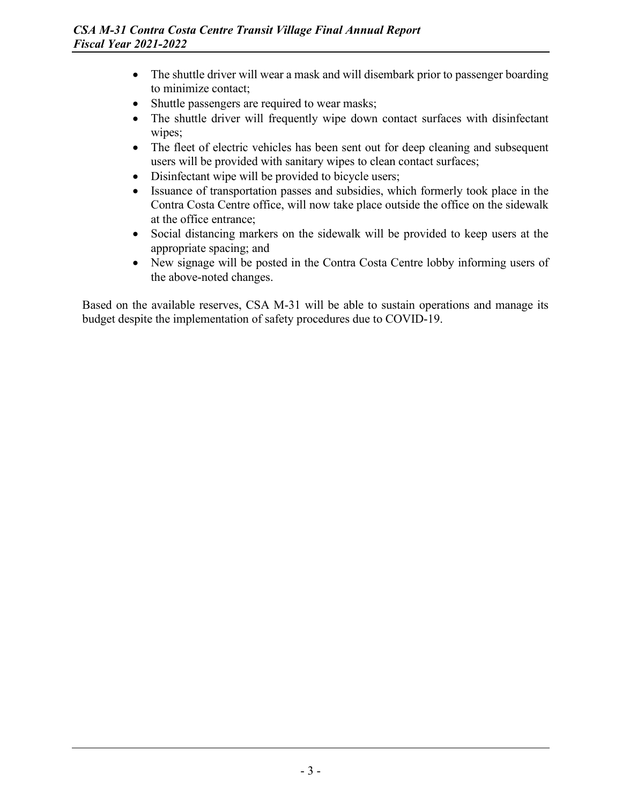- The shuttle driver will wear a mask and will disembark prior to passenger boarding to minimize contact;
- Shuttle passengers are required to wear masks;
- The shuttle driver will frequently wipe down contact surfaces with disinfectant wipes;
- The fleet of electric vehicles has been sent out for deep cleaning and subsequent users will be provided with sanitary wipes to clean contact surfaces;
- Disinfectant wipe will be provided to bicycle users;
- Issuance of transportation passes and subsidies, which formerly took place in the Contra Costa Centre office, will now take place outside the office on the sidewalk at the office entrance;
- Social distancing markers on the sidewalk will be provided to keep users at the appropriate spacing; and
- New signage will be posted in the Contra Costa Centre lobby informing users of the above-noted changes.

Based on the available reserves, CSA M-31 will be able to sustain operations and manage its budget despite the implementation of safety procedures due to COVID-19.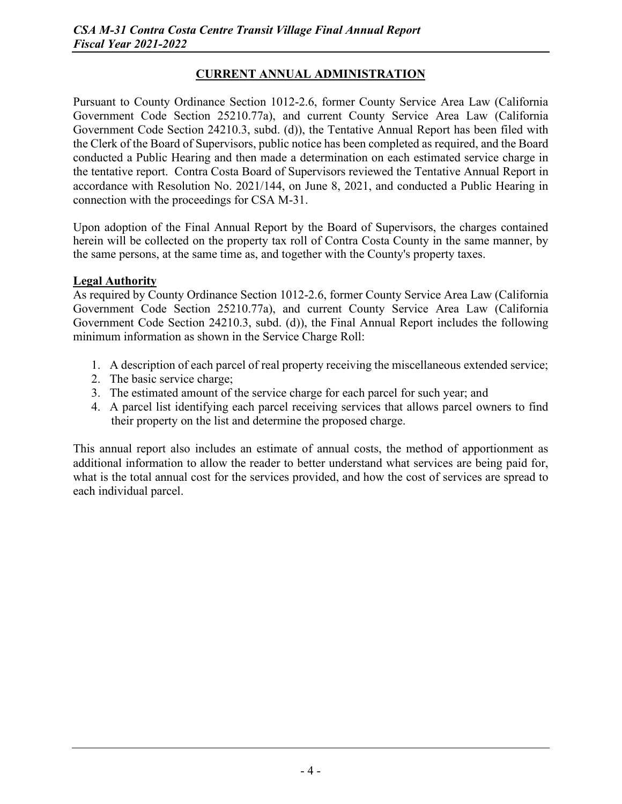#### **CURRENT ANNUAL ADMINISTRATION**

Pursuant to County Ordinance Section 1012-2.6, former County Service Area Law (California Government Code Section 25210.77a), and current County Service Area Law (California Government Code Section 24210.3, subd. (d)), the Tentative Annual Report has been filed with the Clerk of the Board of Supervisors, public notice has been completed as required, and the Board conducted a Public Hearing and then made a determination on each estimated service charge in the tentative report. Contra Costa Board of Supervisors reviewed the Tentative Annual Report in accordance with Resolution No. 2021/144, on June 8, 2021, and conducted a Public Hearing in connection with the proceedings for CSA M-31.

Upon adoption of the Final Annual Report by the Board of Supervisors, the charges contained herein will be collected on the property tax roll of Contra Costa County in the same manner, by the same persons, at the same time as, and together with the County's property taxes.

#### **Legal Authority**

As required by County Ordinance Section 1012-2.6, former County Service Area Law (California Government Code Section 25210.77a), and current County Service Area Law (California Government Code Section 24210.3, subd. (d)), the Final Annual Report includes the following minimum information as shown in the Service Charge Roll:

- 1. A description of each parcel of real property receiving the miscellaneous extended service;
- 2. The basic service charge;
- 3. The estimated amount of the service charge for each parcel for such year; and
- 4. A parcel list identifying each parcel receiving services that allows parcel owners to find their property on the list and determine the proposed charge.

This annual report also includes an estimate of annual costs, the method of apportionment as additional information to allow the reader to better understand what services are being paid for, what is the total annual cost for the services provided, and how the cost of services are spread to each individual parcel.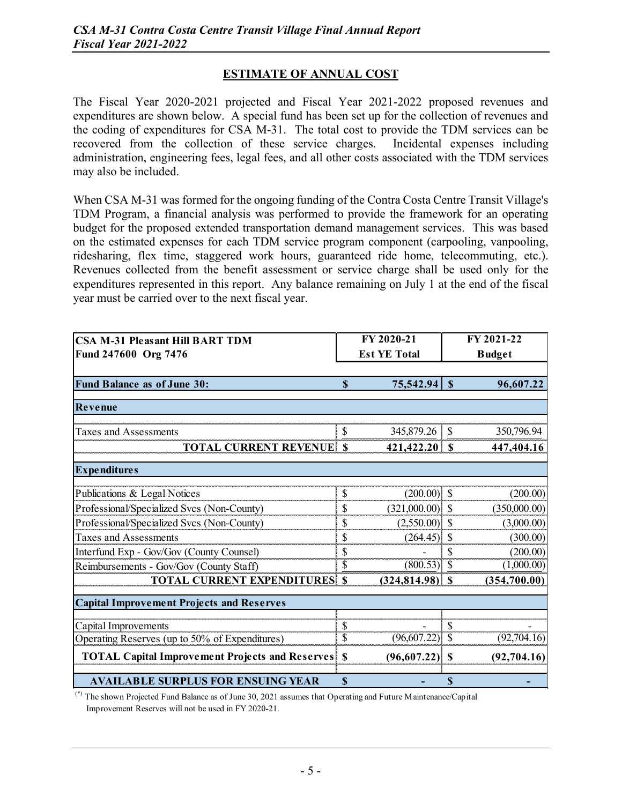#### **ESTIMATE OF ANNUAL COST**

The Fiscal Year 2020-2021 projected and Fiscal Year 2021-2022 proposed revenues and expenditures are shown below. A special fund has been set up for the collection of revenues and the coding of expenditures for CSA M-31. The total cost to provide the TDM services can be recovered from the collection of these service charges. Incidental expenses including administration, engineering fees, legal fees, and all other costs associated with the TDM services may also be included.

When CSA M-31 was formed for the ongoing funding of the Contra Costa Centre Transit Village's TDM Program, a financial analysis was performed to provide the framework for an operating budget for the proposed extended transportation demand management services. This was based on the estimated expenses for each TDM service program component (carpooling, vanpooling, ridesharing, flex time, staggered work hours, guaranteed ride home, telecommuting, etc.). Revenues collected from the benefit assessment or service charge shall be used only for the expenditures represented in this report. Any balance remaining on July 1 at the end of the fiscal year must be carried over to the next fiscal year.

| <b>CSA M-31 Pleasant Hill BART TDM</b>                 | FY 2020-21          |                    | FY 2021-22               |               |  |
|--------------------------------------------------------|---------------------|--------------------|--------------------------|---------------|--|
| Fund 247600 Org 7476                                   | <b>Est YE Total</b> |                    |                          | <b>Budget</b> |  |
|                                                        |                     |                    |                          |               |  |
| Fund Balance as of June 30:                            | $\mathbf S$         | 75,542.94          | $\mathbf S$              | 96,607.22     |  |
|                                                        |                     |                    |                          |               |  |
| Revenue                                                |                     |                    |                          |               |  |
| <b>Taxes and Assessments</b>                           | P                   |                    |                          | 350,796.94    |  |
| <b>TOTAL CURRENT REVENUE</b>                           | $\mathbf S$         | $421,422.20$ \$    |                          | 447,404.16    |  |
| <b>Expenditures</b>                                    |                     |                    |                          |               |  |
| Publications & Legal Notices                           | \$                  | $(200.00)$ \$      |                          | (200.00)      |  |
| Professional/Specialized Svcs (Non-County)             | \$                  | $(321,000.00)$ \$  |                          | (350,000.00)  |  |
| Professional/Specialized Svcs (Non-County)             | \$                  | $(2,550.00)$ \$    |                          | (3,000.00)    |  |
| <b>Taxes and Assessments</b>                           | \$                  | (264.45)           | $\mathcal{S}$            | (300.00)      |  |
| Interfund Exp - Gov/Gov (County Counsel)               |                     |                    | \$                       | (200.00)      |  |
| Reimbursements - Gov/Gov (County Staff)                | \$                  | $(800.53)$ \$      |                          | (1,000.00)    |  |
| <b>TOTAL CURRENT EXPENDITURES</b>                      | <sup>\$</sup>       | $(324, 814.98)$ \$ |                          | (354,700.00)  |  |
| <b>Capital Improvement Projects and Reserves</b>       |                     |                    |                          |               |  |
| Capital Improvements                                   | \$                  |                    | \$                       |               |  |
| Operating Reserves (up to 50% of Expenditures)         | \$                  | (96,607.22)        | $\overline{\mathcal{S}}$ | (92, 704.16)  |  |
| <b>TOTAL Capital Improvement Projects and Reserves</b> | $\mathbf S$         | (96,607.22)        | $\mathbf S$              | (92, 704.16)  |  |
| <b>AVAILABLE SURPLUS FOR ENSUING YEAR</b>              | \$                  |                    | \$                       |               |  |

(\*) The shown Projected Fund Balance as of June 30, 2021 assumes that Operating and Future Maintenance/Capital Improvement Reserves will not be used in FY 2020-21.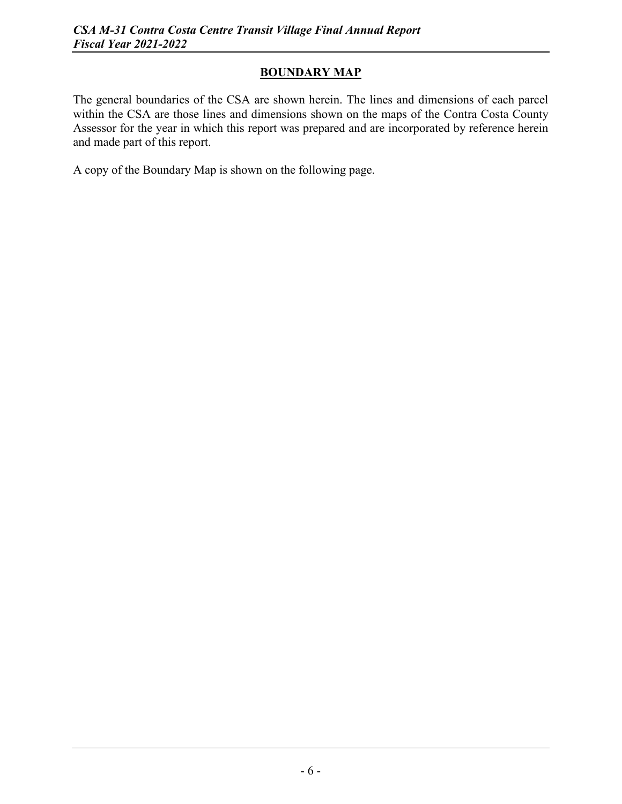#### **BOUNDARY MAP**

The general boundaries of the CSA are shown herein. The lines and dimensions of each parcel within the CSA are those lines and dimensions shown on the maps of the Contra Costa County Assessor for the year in which this report was prepared and are incorporated by reference herein and made part of this report.

A copy of the Boundary Map is shown on the following page.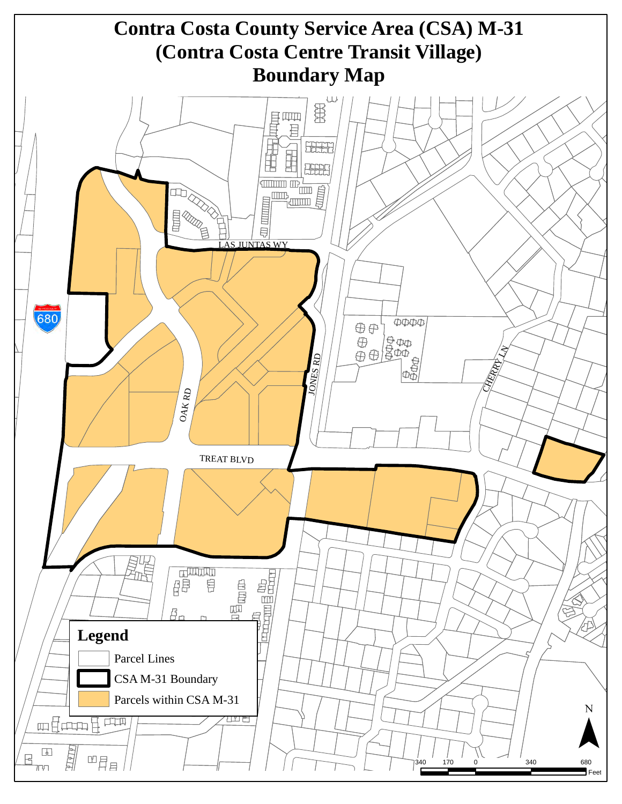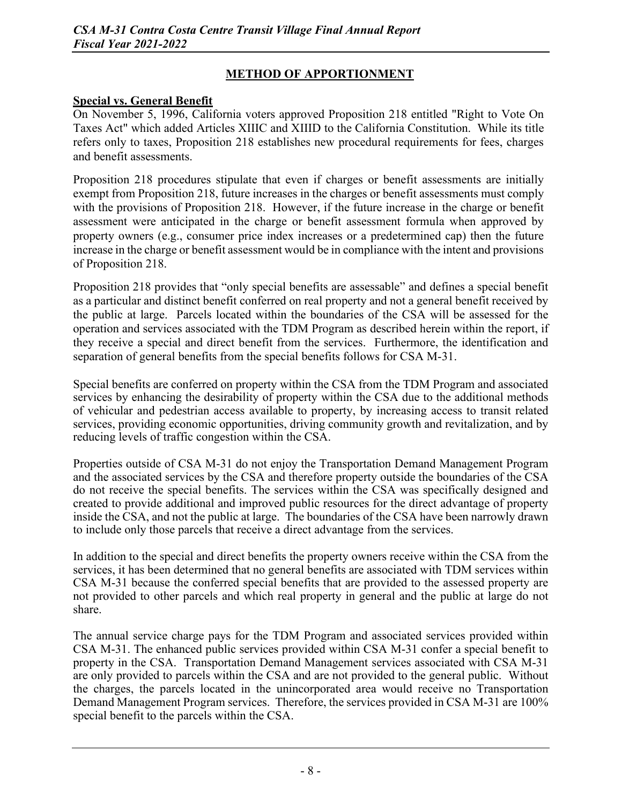#### **METHOD OF APPORTIONMENT**

#### **Special vs. General Benefit**

On November 5, 1996, California voters approved Proposition 218 entitled "Right to Vote On Taxes Act" which added Articles XIIIC and XIIID to the California Constitution. While its title refers only to taxes, Proposition 218 establishes new procedural requirements for fees, charges and benefit assessments.

Proposition 218 procedures stipulate that even if charges or benefit assessments are initially exempt from Proposition 218, future increases in the charges or benefit assessments must comply with the provisions of Proposition 218. However, if the future increase in the charge or benefit assessment were anticipated in the charge or benefit assessment formula when approved by property owners (e.g., consumer price index increases or a predetermined cap) then the future increase in the charge or benefit assessment would be in compliance with the intent and provisions of Proposition 218.

Proposition 218 provides that "only special benefits are assessable" and defines a special benefit as a particular and distinct benefit conferred on real property and not a general benefit received by the public at large. Parcels located within the boundaries of the CSA will be assessed for the operation and services associated with the TDM Program as described herein within the report, if they receive a special and direct benefit from the services. Furthermore, the identification and separation of general benefits from the special benefits follows for CSA M-31.

Special benefits are conferred on property within the CSA from the TDM Program and associated services by enhancing the desirability of property within the CSA due to the additional methods of vehicular and pedestrian access available to property, by increasing access to transit related services, providing economic opportunities, driving community growth and revitalization, and by reducing levels of traffic congestion within the CSA.

Properties outside of CSA M-31 do not enjoy the Transportation Demand Management Program and the associated services by the CSA and therefore property outside the boundaries of the CSA do not receive the special benefits. The services within the CSA was specifically designed and created to provide additional and improved public resources for the direct advantage of property inside the CSA, and not the public at large. The boundaries of the CSA have been narrowly drawn to include only those parcels that receive a direct advantage from the services.

In addition to the special and direct benefits the property owners receive within the CSA from the services, it has been determined that no general benefits are associated with TDM services within CSA M-31 because the conferred special benefits that are provided to the assessed property are not provided to other parcels and which real property in general and the public at large do not share.

The annual service charge pays for the TDM Program and associated services provided within CSA M-31. The enhanced public services provided within CSA M-31 confer a special benefit to property in the CSA. Transportation Demand Management services associated with CSA M-31 are only provided to parcels within the CSA and are not provided to the general public. Without the charges, the parcels located in the unincorporated area would receive no Transportation Demand Management Program services. Therefore, the services provided in CSA M-31 are 100% special benefit to the parcels within the CSA.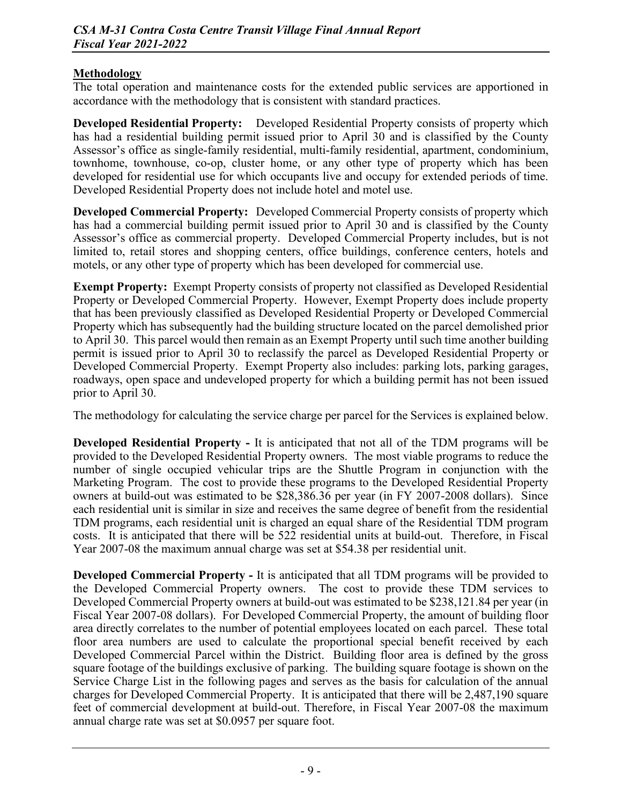#### **Methodology**

The total operation and maintenance costs for the extended public services are apportioned in accordance with the methodology that is consistent with standard practices.

**Developed Residential Property:** Developed Residential Property consists of property which has had a residential building permit issued prior to April 30 and is classified by the County Assessor's office as single-family residential, multi-family residential, apartment, condominium, townhome, townhouse, co-op, cluster home, or any other type of property which has been developed for residential use for which occupants live and occupy for extended periods of time. Developed Residential Property does not include hotel and motel use.

**Developed Commercial Property:** Developed Commercial Property consists of property which has had a commercial building permit issued prior to April 30 and is classified by the County Assessor's office as commercial property. Developed Commercial Property includes, but is not limited to, retail stores and shopping centers, office buildings, conference centers, hotels and motels, or any other type of property which has been developed for commercial use.

**Exempt Property:** Exempt Property consists of property not classified as Developed Residential Property or Developed Commercial Property. However, Exempt Property does include property that has been previously classified as Developed Residential Property or Developed Commercial Property which has subsequently had the building structure located on the parcel demolished prior to April 30. This parcel would then remain as an Exempt Property until such time another building permit is issued prior to April 30 to reclassify the parcel as Developed Residential Property or Developed Commercial Property. Exempt Property also includes: parking lots, parking garages, roadways, open space and undeveloped property for which a building permit has not been issued prior to April 30.

The methodology for calculating the service charge per parcel for the Services is explained below.

**Developed Residential Property -** It is anticipated that not all of the TDM programs will be provided to the Developed Residential Property owners. The most viable programs to reduce the number of single occupied vehicular trips are the Shuttle Program in conjunction with the Marketing Program. The cost to provide these programs to the Developed Residential Property owners at build-out was estimated to be \$28,386.36 per year (in FY 2007-2008 dollars). Since each residential unit is similar in size and receives the same degree of benefit from the residential TDM programs, each residential unit is charged an equal share of the Residential TDM program costs. It is anticipated that there will be 522 residential units at build-out. Therefore, in Fiscal Year 2007-08 the maximum annual charge was set at \$54.38 per residential unit.

**Developed Commercial Property -** It is anticipated that all TDM programs will be provided to the Developed Commercial Property owners. The cost to provide these TDM services to Developed Commercial Property owners at build-out was estimated to be \$238,121.84 per year (in Fiscal Year 2007-08 dollars). For Developed Commercial Property, the amount of building floor area directly correlates to the number of potential employees located on each parcel. These total floor area numbers are used to calculate the proportional special benefit received by each Developed Commercial Parcel within the District. Building floor area is defined by the gross square footage of the buildings exclusive of parking. The building square footage is shown on the Service Charge List in the following pages and serves as the basis for calculation of the annual charges for Developed Commercial Property. It is anticipated that there will be 2,487,190 square feet of commercial development at build-out. Therefore, in Fiscal Year 2007-08 the maximum annual charge rate was set at \$0.0957 per square foot.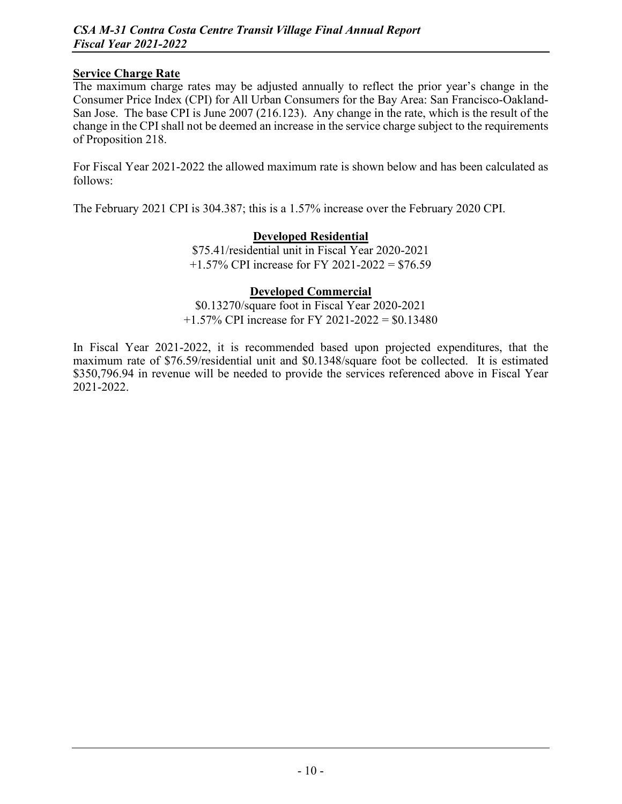#### **Service Charge Rate**

The maximum charge rates may be adjusted annually to reflect the prior year's change in the Consumer Price Index (CPI) for All Urban Consumers for the Bay Area: San Francisco-Oakland-San Jose. The base CPI is June 2007 (216.123). Any change in the rate, which is the result of the change in the CPI shall not be deemed an increase in the service charge subject to the requirements of Proposition 218.

For Fiscal Year 2021-2022 the allowed maximum rate is shown below and has been calculated as follows:

The February 2021 CPI is 304.387; this is a 1.57% increase over the February 2020 CPI.

#### **Developed Residential**

\$75.41/residential unit in Fiscal Year 2020-2021  $+1.57\%$  CPI increase for FY 2021-2022 = \$76.59

#### **Developed Commercial**

\$0.13270/square foot in Fiscal Year 2020-2021  $+1.57\%$  CPI increase for FY 2021-2022 = \$0.13480

In Fiscal Year 2021-2022, it is recommended based upon projected expenditures, that the maximum rate of \$76.59/residential unit and \$0.1348/square foot be collected. It is estimated \$350,796.94 in revenue will be needed to provide the services referenced above in Fiscal Year 2021-2022.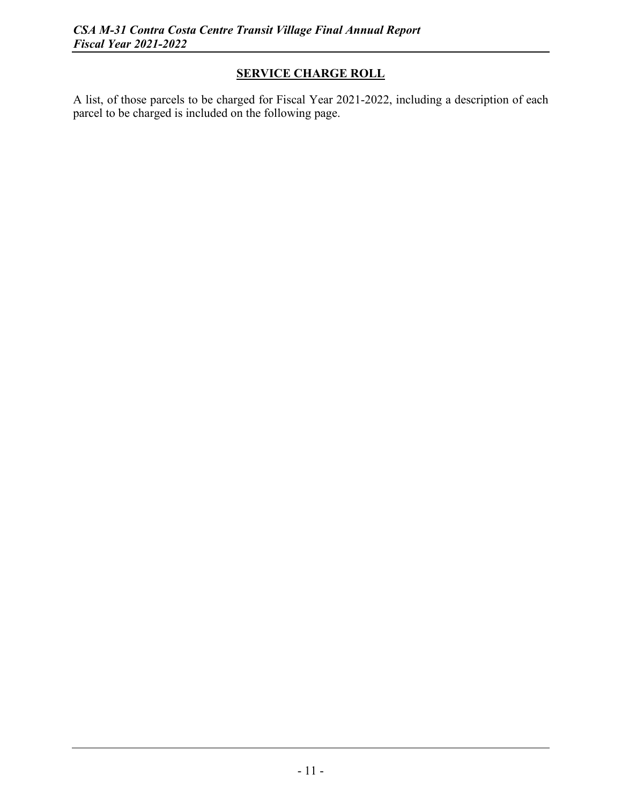### **SERVICE CHARGE ROLL**

A list, of those parcels to be charged for Fiscal Year 2021-2022, including a description of each parcel to be charged is included on the following page.